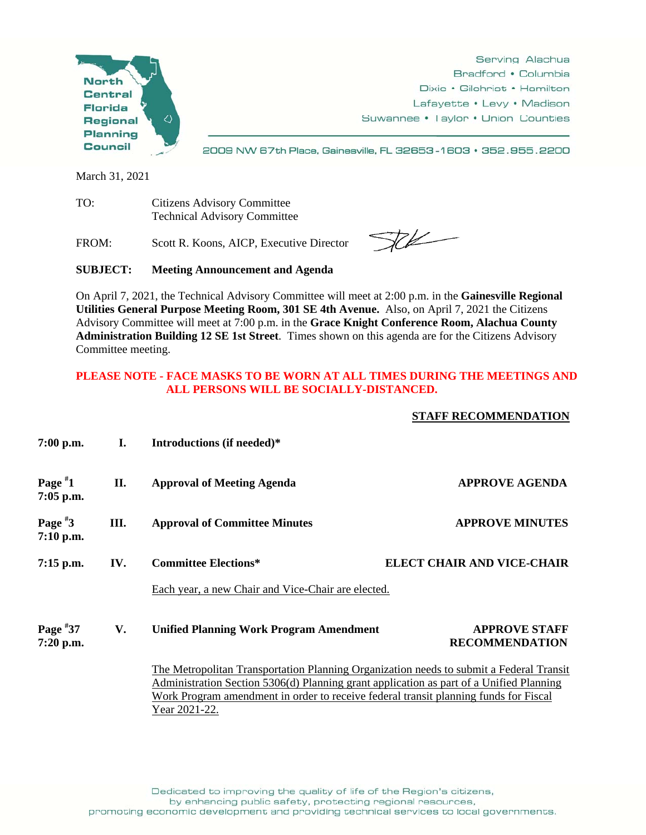

Serving Alachua Bradford • Columbia Dixie • Gilchrist • Hamilton Lafayette • Levy • Madison Suwannee . Taylor . Union Counties

2009 NW 67th Place, Gainesville, FL 32653-1603 · 352.955.2200

March 31, 2021

TO: Citizens Advisory Committee Technical Advisory Committee

FROM: Scott R. Koons, AICP, Executive Director

 $76$ 

**SUBJECT: Meeting Announcement and Agenda** 

On April 7, 2021, the Technical Advisory Committee will meet at 2:00 p.m. in the **Gainesville Regional Utilities General Purpose Meeting Room, 301 SE 4th Avenue.** Also, on April 7, 2021 the Citizens Advisory Committee will meet at 7:00 p.m. in the **Grace Knight Conference Room, Alachua County Administration Building 12 SE 1st Street**. Times shown on this agenda are for the Citizens Advisory Committee meeting.

## **PLEASE NOTE - FACE MASKS TO BE WORN AT ALL TIMES DURING THE MEETINGS AND ALL PERSONS WILL BE SOCIALLY-DISTANCED.**

## **STAFF RECOMMENDATION**

| $7:00$ p.m.               | I.  | Introductions (if needed)*                                                                                                                                                                                                                                                                  |                                               |  |
|---------------------------|-----|---------------------------------------------------------------------------------------------------------------------------------------------------------------------------------------------------------------------------------------------------------------------------------------------|-----------------------------------------------|--|
| Page $*1$<br>$7:05$ p.m.  | П.  | <b>Approval of Meeting Agenda</b>                                                                                                                                                                                                                                                           | <b>APPROVE AGENDA</b>                         |  |
| Page $*3$<br>$7:10$ p.m.  | Ш.  | <b>Approval of Committee Minutes</b>                                                                                                                                                                                                                                                        | <b>APPROVE MINUTES</b>                        |  |
| $7:15$ p.m.               | IV. | <b>Committee Elections*</b>                                                                                                                                                                                                                                                                 | <b>ELECT CHAIR AND VICE-CHAIR</b>             |  |
|                           |     | Each year, a new Chair and Vice-Chair are elected.                                                                                                                                                                                                                                          |                                               |  |
| Page $*37$<br>$7:20$ p.m. | V.  | <b>Unified Planning Work Program Amendment</b>                                                                                                                                                                                                                                              | <b>APPROVE STAFF</b><br><b>RECOMMENDATION</b> |  |
|                           |     | The Metropolitan Transportation Planning Organization needs to submit a Federal Transit<br>Administration Section 5306(d) Planning grant application as part of a Unified Planning<br>Work Program amendment in order to receive federal transit planning funds for Fiscal<br>Year 2021-22. |                                               |  |